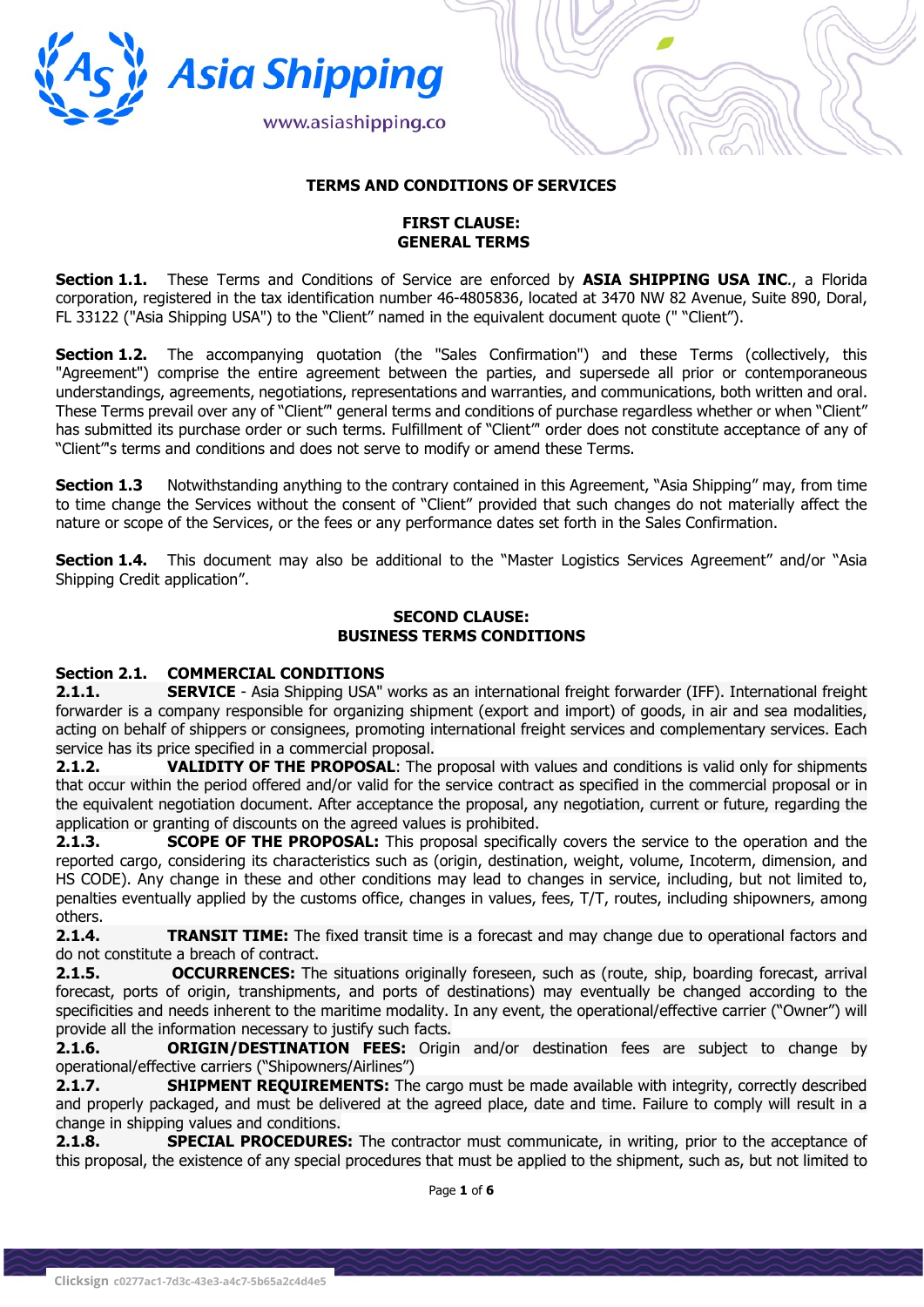

# TERMS AND CONDITIONS OF SERVICES

# FIRST CLAUSE: GENERAL TERMS

Section 1.1. These Terms and Conditions of Service are enforced by ASIA SHIPPING USA INC., a Florida corporation, registered in the tax identification number 46-4805836, located at 3470 NW 82 Avenue, Suite 890, Doral, FL 33122 ("Asia Shipping USA") to the "Client" named in the equivalent document quote (" "Client").

Section 1.2. The accompanying quotation (the "Sales Confirmation") and these Terms (collectively, this "Agreement") comprise the entire agreement between the parties, and supersede all prior or contemporaneous understandings, agreements, negotiations, representations and warranties, and communications, both written and oral. These Terms prevail over any of "Client"' general terms and conditions of purchase regardless whether or when "Client" has submitted its purchase order or such terms. Fulfillment of "Client" order does not constitute acceptance of any of "Client"'s terms and conditions and does not serve to modify or amend these Terms.

**Section 1.3** Notwithstanding anything to the contrary contained in this Agreement, "Asia Shipping" may, from time to time change the Services without the consent of "Client" provided that such changes do not materially affect the nature or scope of the Services, or the fees or any performance dates set forth in the Sales Confirmation.

**Section 1.4.** This document may also be additional to the "Master Logistics Services Agreement" and/or "Asia Shipping Credit application".

#### SECOND CLAUSE: BUSINESS TERMS CONDITIONS

# Section 2.1. COMMERCIAL CONDITIONS

2.1.1. SERVICE - Asia Shipping USA" works as an international freight forwarder (IFF). International freight forwarder is a company responsible for organizing shipment (export and import) of goods, in air and sea modalities, acting on behalf of shippers or consignees, promoting international freight services and complementary services. Each service has its price specified in a commercial proposal.

2.1.2. VALIDITY OF THE PROPOSAL: The proposal with values and conditions is valid only for shipments that occur within the period offered and/or valid for the service contract as specified in the commercial proposal or in the equivalent negotiation document. After acceptance the proposal, any negotiation, current or future, regarding the application or granting of discounts on the agreed values is prohibited.

**2.1.3. SCOPE OF THE PROPOSAL:** This proposal specifically covers the service to the operation and the reported cargo, considering its characteristics such as (origin, destination, weight, volume, Incoterm, dimension, and HS CODE). Any change in these and other conditions may lead to changes in service, including, but not limited to, penalties eventually applied by the customs office, changes in values, fees, T/T, routes, including shipowners, among others.

**2.1.4.** TRANSIT TIME: The fixed transit time is a forecast and may change due to operational factors and do not constitute a breach of contract.

2.1.5. **OCCURRENCES:** The situations originally foreseen, such as (route, ship, boarding forecast, arrival forecast, ports of origin, transhipments, and ports of destinations) may eventually be changed according to the specificities and needs inherent to the maritime modality. In any event, the operational/effective carrier ("Owner") will provide all the information necessary to justify such facts.

**2.1.6. CRIGIN/DESTINATION FEES:** Origin and/or destination fees are subject to change by operational/effective carriers ("Shipowners/Airlines")

2.1.7. SHIPMENT REQUIREMENTS: The cargo must be made available with integrity, correctly described and properly packaged, and must be delivered at the agreed place, date and time. Failure to comply will result in a change in shipping values and conditions.

2.1.8. SPECIAL PROCEDURES: The contractor must communicate, in writing, prior to the acceptance of this proposal, the existence of any special procedures that must be applied to the shipment, such as, but not limited to

Page 1 of 6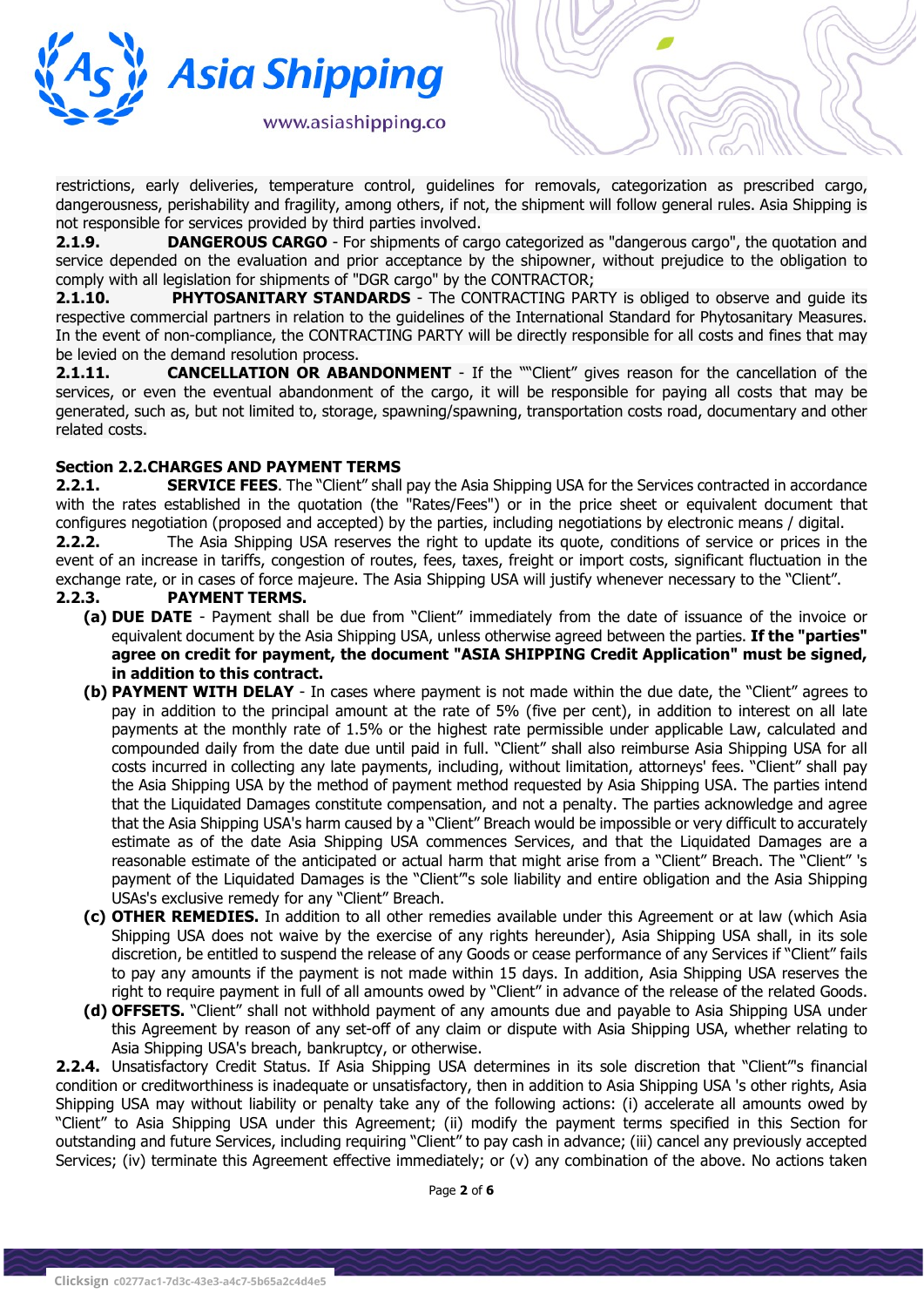

restrictions, early deliveries, temperature control, guidelines for removals, categorization as prescribed cargo, dangerousness, perishability and fragility, among others, if not, the shipment will follow general rules. Asia Shipping is not responsible for services provided by third parties involved.

2.1.9. DANGEROUS CARGO - For shipments of cargo categorized as "dangerous cargo", the quotation and service depended on the evaluation and prior acceptance by the shipowner, without prejudice to the obligation to comply with all legislation for shipments of "DGR cargo" by the CONTRACTOR;

2.1.10. PHYTOSANITARY STANDARDS - The CONTRACTING PARTY is obliged to observe and quide its respective commercial partners in relation to the guidelines of the International Standard for Phytosanitary Measures. In the event of non-compliance, the CONTRACTING PARTY will be directly responsible for all costs and fines that may be levied on the demand resolution process.

2.1.11. **CANCELLATION OR ABANDONMENT** - If the ""Client" gives reason for the cancellation of the services, or even the eventual abandonment of the cargo, it will be responsible for paying all costs that may be generated, such as, but not limited to, storage, spawning/spawning, transportation costs road, documentary and other related costs.

# Section 2.2.CHARGES AND PAYMENT TERMS

2.2.1. SERVICE FEES. The "Client" shall pay the Asia Shipping USA for the Services contracted in accordance with the rates established in the quotation (the "Rates/Fees") or in the price sheet or equivalent document that configures negotiation (proposed and accepted) by the parties, including negotiations by electronic means / digital.

2.2.2. The Asia Shipping USA reserves the right to update its quote, conditions of service or prices in the event of an increase in tariffs, congestion of routes, fees, taxes, freight or import costs, significant fluctuation in the exchange rate, or in cases of force majeure. The Asia Shipping USA will justify whenever necessary to the "Client".

- 2.2.3. PAYMENT TERMS.
	- (a) DUE DATE Payment shall be due from "Client" immediately from the date of issuance of the invoice or equivalent document by the Asia Shipping USA, unless otherwise agreed between the parties. If the "parties" agree on credit for payment, the document "ASIA SHIPPING Credit Application" must be signed, in addition to this contract.
	- (b) PAYMENT WITH DELAY In cases where payment is not made within the due date, the "Client" agrees to pay in addition to the principal amount at the rate of 5% (five per cent), in addition to interest on all late payments at the monthly rate of 1.5% or the highest rate permissible under applicable Law, calculated and compounded daily from the date due until paid in full. "Client" shall also reimburse Asia Shipping USA for all costs incurred in collecting any late payments, including, without limitation, attorneys' fees. "Client" shall pay the Asia Shipping USA by the method of payment method requested by Asia Shipping USA. The parties intend that the Liquidated Damages constitute compensation, and not a penalty. The parties acknowledge and agree that the Asia Shipping USA's harm caused by a "Client" Breach would be impossible or very difficult to accurately estimate as of the date Asia Shipping USA commences Services, and that the Liquidated Damages are a reasonable estimate of the anticipated or actual harm that might arise from a "Client" Breach. The "Client" 's payment of the Liquidated Damages is the "Client"'s sole liability and entire obligation and the Asia Shipping USAs's exclusive remedy for any "Client" Breach.
	- (c) OTHER REMEDIES. In addition to all other remedies available under this Agreement or at law (which Asia Shipping USA does not waive by the exercise of any rights hereunder), Asia Shipping USA shall, in its sole discretion, be entitled to suspend the release of any Goods or cease performance of any Services if "Client" fails to pay any amounts if the payment is not made within 15 days. In addition, Asia Shipping USA reserves the right to require payment in full of all amounts owed by "Client" in advance of the release of the related Goods.
	- (d) OFFSETS. "Client" shall not withhold payment of any amounts due and payable to Asia Shipping USA under this Agreement by reason of any set-off of any claim or dispute with Asia Shipping USA, whether relating to Asia Shipping USA's breach, bankruptcy, or otherwise.

2.2.4. Unsatisfactory Credit Status. If Asia Shipping USA determines in its sole discretion that "Client"'s financial condition or creditworthiness is inadequate or unsatisfactory, then in addition to Asia Shipping USA 's other rights, Asia Shipping USA may without liability or penalty take any of the following actions: (i) accelerate all amounts owed by "Client" to Asia Shipping USA under this Agreement; (ii) modify the payment terms specified in this Section for outstanding and future Services, including requiring "Client" to pay cash in advance; (iii) cancel any previously accepted Services; (iv) terminate this Agreement effective immediately; or (v) any combination of the above. No actions taken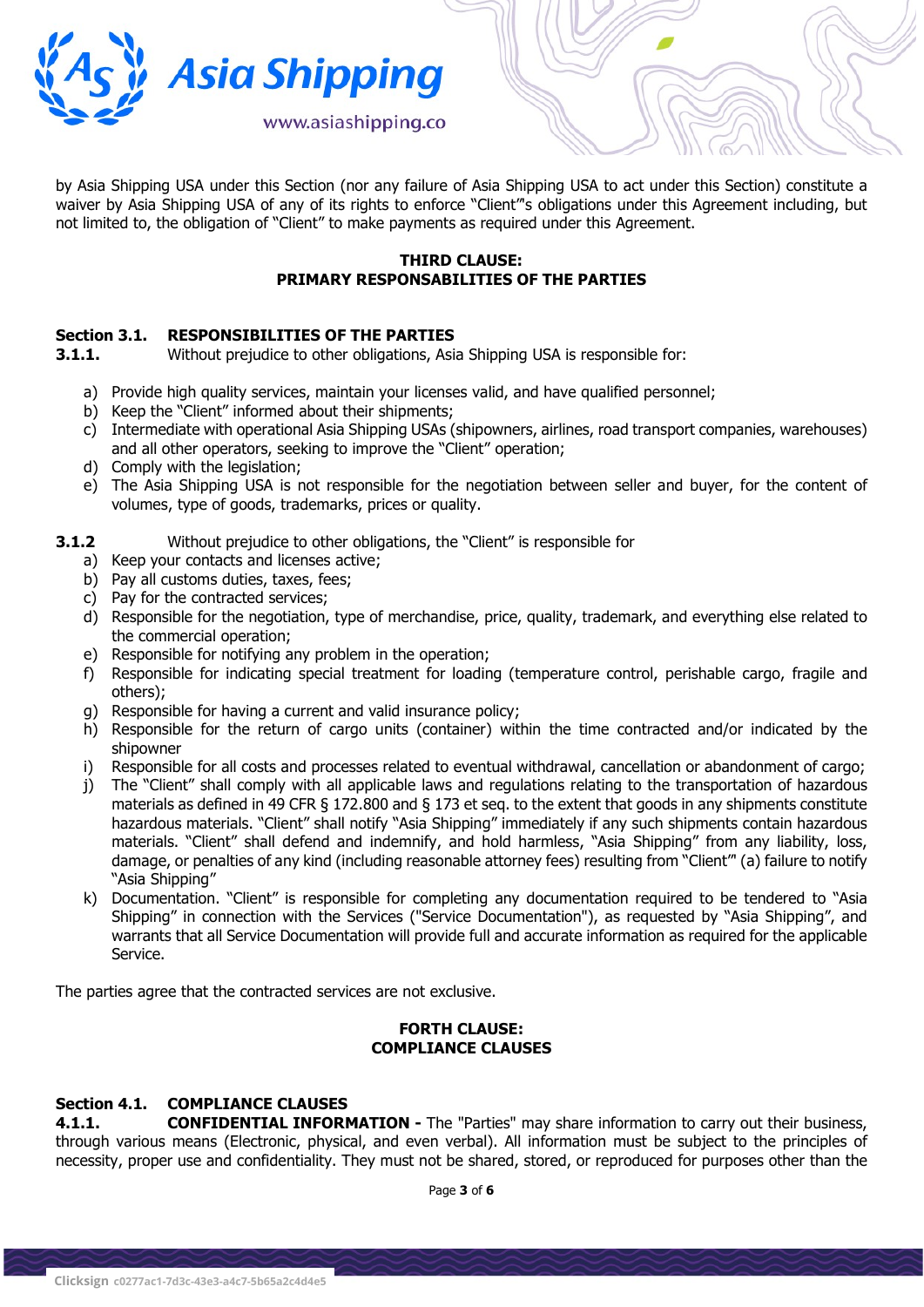

by Asia Shipping USA under this Section (nor any failure of Asia Shipping USA to act under this Section) constitute a waiver by Asia Shipping USA of any of its rights to enforce "Client"'s obligations under this Agreement including, but not limited to, the obligation of "Client" to make payments as required under this Agreement.

# THIRD CLAUSE: PRIMARY RESPONSABILITIES OF THE PARTIES

# Section 3.1. RESPONSIBILITIES OF THE PARTIES

**3.1.1.** Without prejudice to other obligations, Asia Shipping USA is responsible for:

- a) Provide high quality services, maintain your licenses valid, and have qualified personnel;
- b) Keep the "Client" informed about their shipments;
- c) Intermediate with operational Asia Shipping USAs (shipowners, airlines, road transport companies, warehouses) and all other operators, seeking to improve the "Client" operation;
- d) Comply with the legislation;
- e) The Asia Shipping USA is not responsible for the negotiation between seller and buyer, for the content of volumes, type of goods, trademarks, prices or quality.
- **3.1.2** Without prejudice to other obligations, the "Client" is responsible for
	- a) Keep your contacts and licenses active;
	- b) Pay all customs duties, taxes, fees;
	- c) Pay for the contracted services;
	- d) Responsible for the negotiation, type of merchandise, price, quality, trademark, and everything else related to the commercial operation;
	- e) Responsible for notifying any problem in the operation;
	- f) Responsible for indicating special treatment for loading (temperature control, perishable cargo, fragile and others);
	- g) Responsible for having a current and valid insurance policy;
	- h) Responsible for the return of cargo units (container) within the time contracted and/or indicated by the shipowner
	- i) Responsible for all costs and processes related to eventual withdrawal, cancellation or abandonment of cargo;
	- j) The "Client" shall comply with all applicable laws and regulations relating to the transportation of hazardous materials as defined in 49 CFR § 172.800 and § 173 et seq. to the extent that goods in any shipments constitute hazardous materials. "Client" shall notify "Asia Shipping" immediately if any such shipments contain hazardous materials. "Client" shall defend and indemnify, and hold harmless, "Asia Shipping" from any liability, loss, damage, or penalties of any kind (including reasonable attorney fees) resulting from "Client"' (a) failure to notify "Asia Shipping"
	- k) Documentation. "Client" is responsible for completing any documentation required to be tendered to "Asia Shipping" in connection with the Services ("Service Documentation"), as requested by "Asia Shipping", and warrants that all Service Documentation will provide full and accurate information as required for the applicable Service.

The parties agree that the contracted services are not exclusive.

#### FORTH CLAUSE: COMPLIANCE CLAUSES

# Section 4.1. COMPLIANCE CLAUSES

**4.1.1. CONFIDENTIAL INFORMATION -** The "Parties" may share information to carry out their business, through various means (Electronic, physical, and even verbal). All information must be subject to the principles of necessity, proper use and confidentiality. They must not be shared, stored, or reproduced for purposes other than the

Page 3 of 6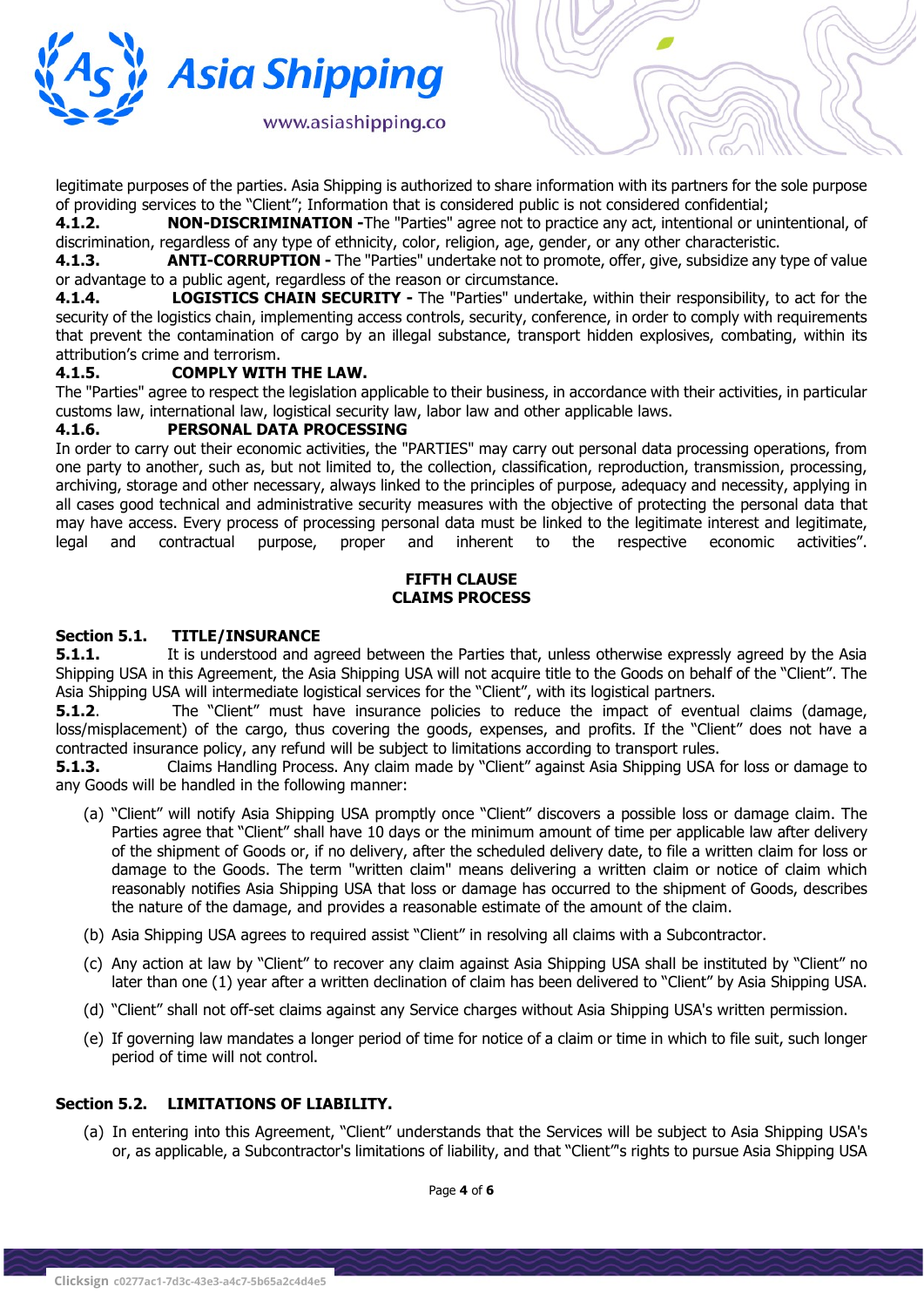

legitimate purposes of the parties. Asia Shipping is authorized to share information with its partners for the sole purpose of providing services to the "Client"; Information that is considered public is not considered confidential;

4.1.2. **NON-DISCRIMINATION -**The "Parties" agree not to practice any act, intentional or unintentional, of discrimination, regardless of any type of ethnicity, color, religion, age, gender, or any other characteristic.

4.1.3. **ANTI-CORRUPTION -** The "Parties" undertake not to promote, offer, give, subsidize any type of value or advantage to a public agent, regardless of the reason or circumstance.

4.1.4. LOGISTICS CHAIN SECURITY - The "Parties" undertake, within their responsibility, to act for the security of the logistics chain, implementing access controls, security, conference, in order to comply with requirements that prevent the contamination of cargo by an illegal substance, transport hidden explosives, combating, within its attribution's crime and terrorism.

#### 4.1.5. COMPLY WITH THE LAW.

The "Parties" agree to respect the legislation applicable to their business, in accordance with their activities, in particular customs law, international law, logistical security law, labor law and other applicable laws.

#### 4.1.6. PERSONAL DATA PROCESSING

In order to carry out their economic activities, the "PARTIES" may carry out personal data processing operations, from one party to another, such as, but not limited to, the collection, classification, reproduction, transmission, processing, archiving, storage and other necessary, always linked to the principles of purpose, adequacy and necessity, applying in all cases good technical and administrative security measures with the objective of protecting the personal data that may have access. Every process of processing personal data must be linked to the legitimate interest and legitimate, legal and contractual purpose, proper and inherent to the respective economic activities".

## FIFTH CLAUSE CLAIMS PROCESS

#### Section 5.1. TITLE/INSURANCE

**5.1.1.** It is understood and agreed between the Parties that, unless otherwise expressly agreed by the Asia Shipping USA in this Agreement, the Asia Shipping USA will not acquire title to the Goods on behalf of the "Client". The Asia Shipping USA will intermediate logistical services for the "Client", with its logistical partners.

**5.1.2.** The "Client" must have insurance policies to reduce the impact of eventual claims (damage, loss/misplacement) of the cargo, thus covering the goods, expenses, and profits. If the "Client" does not have a contracted insurance policy, any refund will be subject to limitations according to transport rules.

**5.1.3.** Claims Handling Process. Any claim made by "Client" against Asia Shipping USA for loss or damage to any Goods will be handled in the following manner:

- (a) "Client" will notify Asia Shipping USA promptly once "Client" discovers a possible loss or damage claim. The Parties agree that "Client" shall have 10 days or the minimum amount of time per applicable law after delivery of the shipment of Goods or, if no delivery, after the scheduled delivery date, to file a written claim for loss or damage to the Goods. The term "written claim" means delivering a written claim or notice of claim which reasonably notifies Asia Shipping USA that loss or damage has occurred to the shipment of Goods, describes the nature of the damage, and provides a reasonable estimate of the amount of the claim.
- (b) Asia Shipping USA agrees to required assist "Client" in resolving all claims with a Subcontractor.
- (c) Any action at law by "Client" to recover any claim against Asia Shipping USA shall be instituted by "Client" no later than one (1) year after a written declination of claim has been delivered to "Client" by Asia Shipping USA.
- (d) "Client" shall not off-set claims against any Service charges without Asia Shipping USA's written permission.
- (e) If governing law mandates a longer period of time for notice of a claim or time in which to file suit, such longer period of time will not control.

# Section 5.2. LIMITATIONS OF LIABILITY.

(a) In entering into this Agreement, "Client" understands that the Services will be subject to Asia Shipping USA's or, as applicable, a Subcontractor's limitations of liability, and that "Client"'s rights to pursue Asia Shipping USA

Page 4 of 6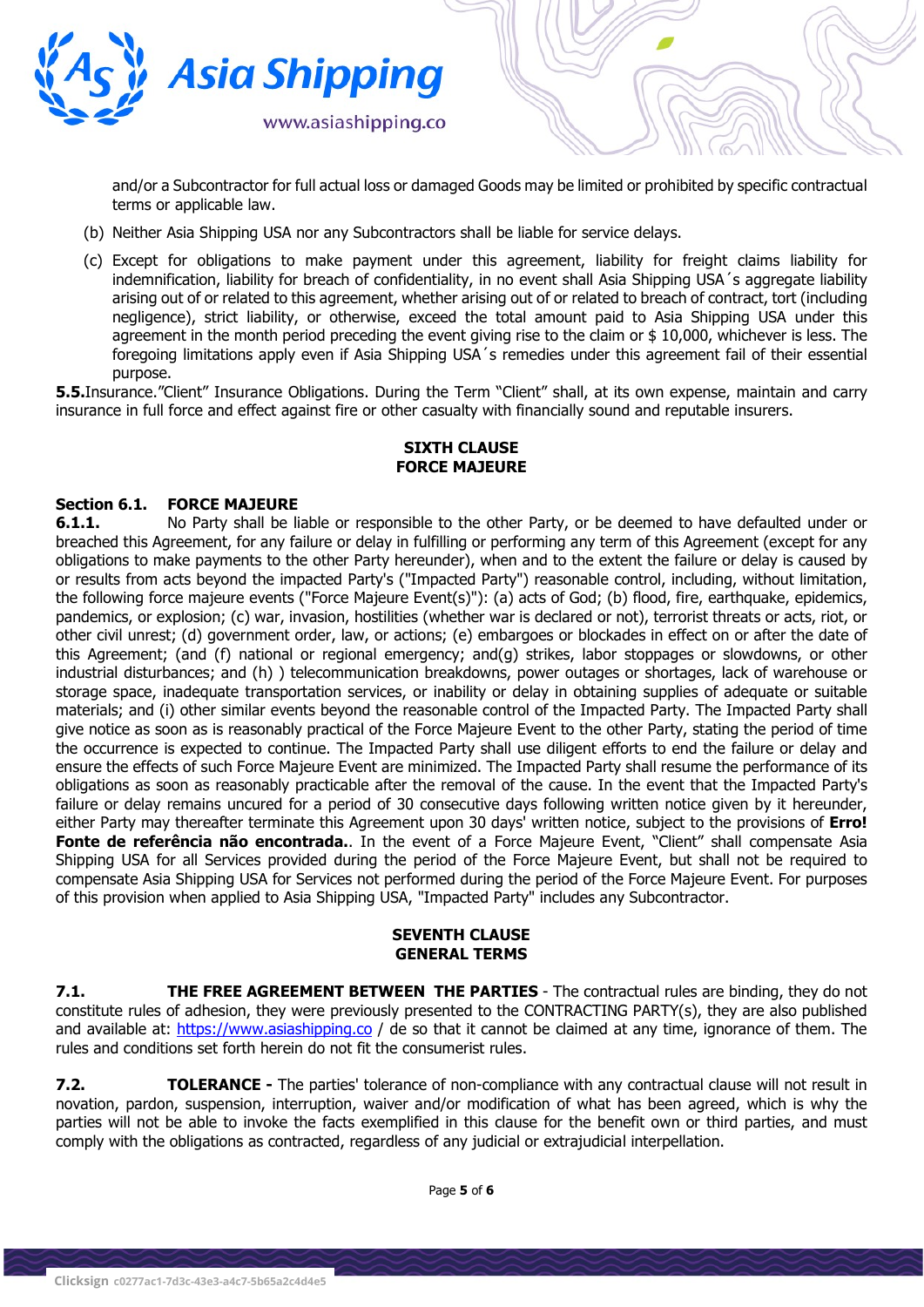

and/or a Subcontractor for full actual loss or damaged Goods may be limited or prohibited by specific contractual terms or applicable law.

- (b) Neither Asia Shipping USA nor any Subcontractors shall be liable for service delays.
- (c) Except for obligations to make payment under this agreement, liability for freight claims liability for indemnification, liability for breach of confidentiality, in no event shall Asia Shipping USA´s aggregate liability arising out of or related to this agreement, whether arising out of or related to breach of contract, tort (including negligence), strict liability, or otherwise, exceed the total amount paid to Asia Shipping USA under this agreement in the month period preceding the event giving rise to the claim or \$ 10,000, whichever is less. The foregoing limitations apply even if Asia Shipping USA´s remedies under this agreement fail of their essential purpose.

5.5.Insurance."Client" Insurance Obligations. During the Term "Client" shall, at its own expense, maintain and carry insurance in full force and effect against fire or other casualty with financially sound and reputable insurers.

# SIXTH CLAUSE FORCE MAJEURE

#### Section 6.1. FORCE MAJEURE

**6.1.1.** No Party shall be liable or responsible to the other Party, or be deemed to have defaulted under or breached this Agreement, for any failure or delay in fulfilling or performing any term of this Agreement (except for any obligations to make payments to the other Party hereunder), when and to the extent the failure or delay is caused by or results from acts beyond the impacted Party's ("Impacted Party") reasonable control, including, without limitation, the following force majeure events ("Force Majeure Event(s)"): (a) acts of God; (b) flood, fire, earthquake, epidemics, pandemics, or explosion; (c) war, invasion, hostilities (whether war is declared or not), terrorist threats or acts, riot, or other civil unrest; (d) government order, law, or actions; (e) embargoes or blockades in effect on or after the date of this Agreement; (and (f) national or regional emergency; and(g) strikes, labor stoppages or slowdowns, or other industrial disturbances; and (h) ) telecommunication breakdowns, power outages or shortages, lack of warehouse or storage space, inadequate transportation services, or inability or delay in obtaining supplies of adequate or suitable materials; and (i) other similar events beyond the reasonable control of the Impacted Party. The Impacted Party shall give notice as soon as is reasonably practical of the Force Majeure Event to the other Party, stating the period of time the occurrence is expected to continue. The Impacted Party shall use diligent efforts to end the failure or delay and ensure the effects of such Force Majeure Event are minimized. The Impacted Party shall resume the performance of its obligations as soon as reasonably practicable after the removal of the cause. In the event that the Impacted Party's failure or delay remains uncured for a period of 30 consecutive days following written notice given by it hereunder, either Party may thereafter terminate this Agreement upon 30 days' written notice, subject to the provisions of Erro! Fonte de referência não encontrada.. In the event of a Force Majeure Event, "Client" shall compensate Asia Shipping USA for all Services provided during the period of the Force Majeure Event, but shall not be required to compensate Asia Shipping USA for Services not performed during the period of the Force Majeure Event. For purposes of this provision when applied to Asia Shipping USA, "Impacted Party" includes any Subcontractor.

#### SEVENTH CLAUSE GENERAL TERMS

7.1. THE FREE AGREEMENT BETWEEN THE PARTIES - The contractual rules are binding, they do not constitute rules of adhesion, they were previously presented to the CONTRACTING PARTY(s), they are also published and available at: https://www.asiashipping.co / de so that it cannot be claimed at any time, ignorance of them. The rules and conditions set forth herein do not fit the consumerist rules.

**7.2. TOLERANCE** - The parties' tolerance of non-compliance with any contractual clause will not result in novation, pardon, suspension, interruption, waiver and/or modification of what has been agreed, which is why the parties will not be able to invoke the facts exemplified in this clause for the benefit own or third parties, and must comply with the obligations as contracted, regardless of any judicial or extrajudicial interpellation.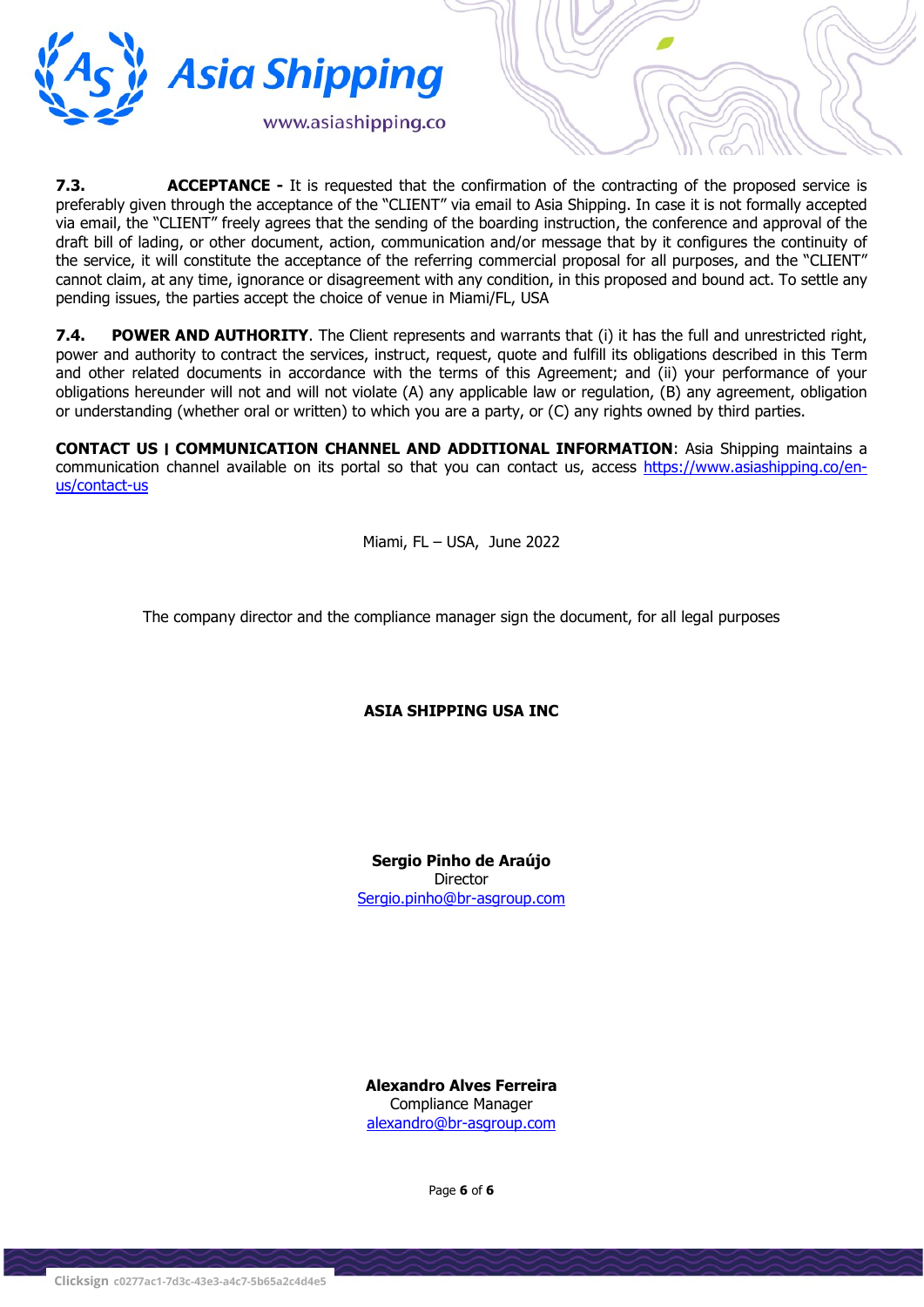

**7.3.** ACCEPTANCE - It is requested that the confirmation of the contracting of the proposed service is preferably given through the acceptance of the "CLIENT" via email to Asia Shipping. In case it is not formally accepted via email, the "CLIENT" freely agrees that the sending of the boarding instruction, the conference and approval of the draft bill of lading, or other document, action, communication and/or message that by it configures the continuity of the service, it will constitute the acceptance of the referring commercial proposal for all purposes, and the "CLIENT" cannot claim, at any time, ignorance or disagreement with any condition, in this proposed and bound act. To settle any pending issues, the parties accept the choice of venue in Miami/FL, USA

7.4. POWER AND AUTHORITY. The Client represents and warrants that (i) it has the full and unrestricted right, power and authority to contract the services, instruct, request, quote and fulfill its obligations described in this Term and other related documents in accordance with the terms of this Agreement; and (ii) your performance of your obligations hereunder will not and will not violate (A) any applicable law or regulation, (B) any agreement, obligation or understanding (whether oral or written) to which you are a party, or (C) any rights owned by third parties.

CONTACT US ׀ COMMUNICATION CHANNEL AND ADDITIONAL INFORMATION: Asia Shipping maintains a communication channel available on its portal so that you can contact us, access https://www.asiashipping.co/enus/contact-us

Miami, FL – USA, June 2022

The company director and the compliance manager sign the document, for all legal purposes

ASIA SHIPPING USA INC

Sergio Pinho de Araújo Director Sergio.pinho@br-asgroup.com

Alexandro Alves Ferreira Compliance Manager alexandro@br-asgroup.com

Page 6 of 6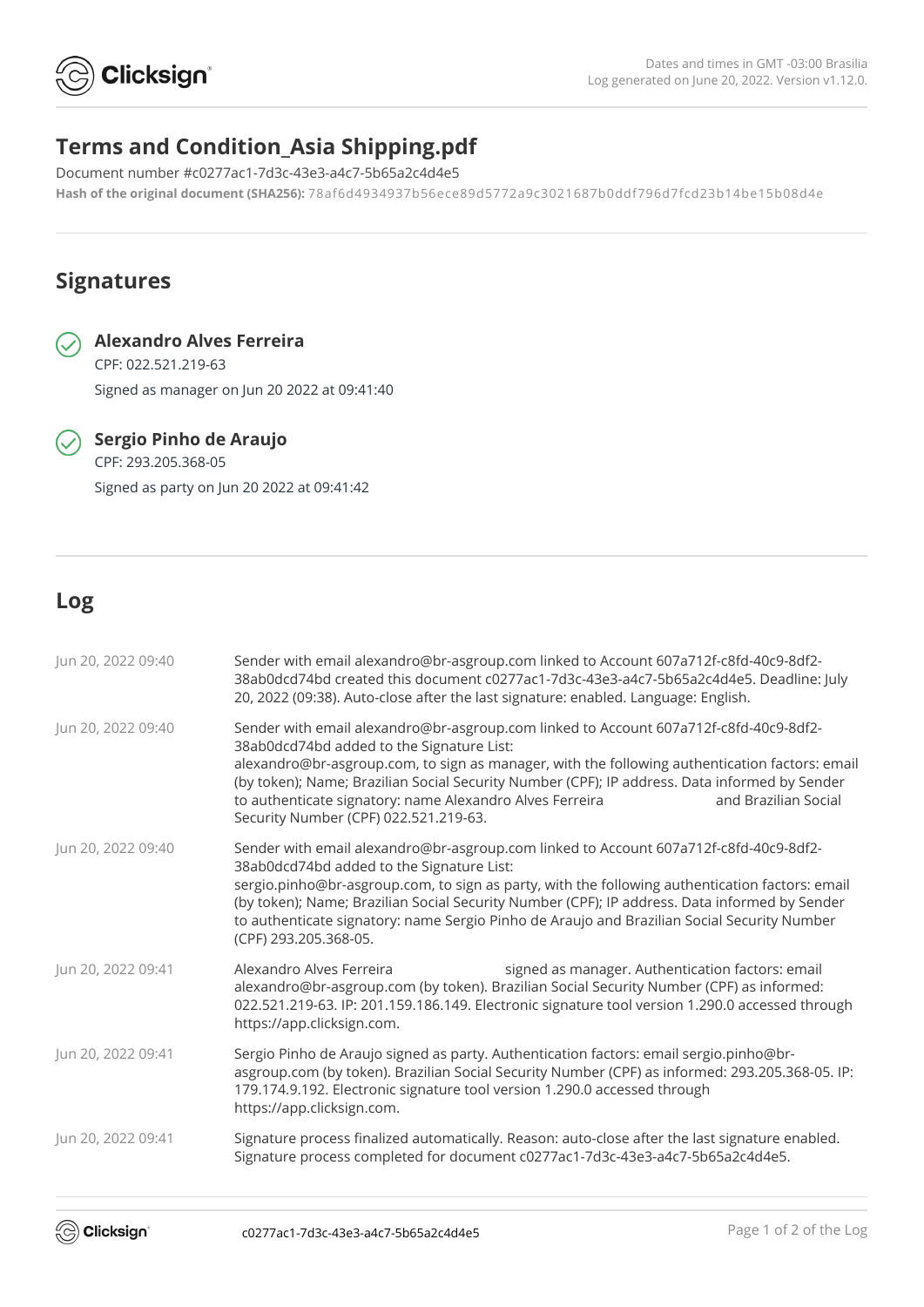

# **Terms and Condition\_Asia Shipping.pdf**

Document number #c0277ac1-7d3c-43e3-a4c7-5b65a2c4d4e5 **Hash of the original document (SHA256):** 78af6d4934937b56ece89d5772a9c3021687b0ddf796d7fcd23b14be15b08d4e

# **Signatures**



# **Alexandro Alves Ferreira**

CPF: 022.521.219-63 Signed as manager on Jun 20 2022 at 09:41:40

 $\widehat{\mathcal{S}}$  Sergio Pinho de Araujo CPF: 293.205.368-05 Signed as party on Jun 20 2022 at 09:41:42

# **Log**

| Jun 20, 2022 09:40 | Sender with email alexandro@br-asgroup.com linked to Account 607a712f-c8fd-40c9-8df2-<br>38ab0dcd74bd created this document c0277ac1-7d3c-43e3-a4c7-5b65a2c4d4e5. Deadline: July<br>20, 2022 (09:38). Auto-close after the last signature: enabled. Language: English.                                                                                                                                                                                             |
|--------------------|--------------------------------------------------------------------------------------------------------------------------------------------------------------------------------------------------------------------------------------------------------------------------------------------------------------------------------------------------------------------------------------------------------------------------------------------------------------------|
| Jun 20, 2022 09:40 | Sender with email alexandro@br-asgroup.com linked to Account 607a712f-c8fd-40c9-8df2-<br>38ab0dcd74bd added to the Signature List:<br>alexandro@br-asgroup.com, to sign as manager, with the following authentication factors: email<br>(by token); Name; Brazilian Social Security Number (CPF); IP address. Data informed by Sender<br>to authenticate signatory: name Alexandro Alves Ferreira<br>and Brazilian Social<br>Security Number (CPF) 022.521.219-63. |
| Jun 20, 2022 09:40 | Sender with email alexandro@br-asgroup.com linked to Account 607a712f-c8fd-40c9-8df2-<br>38ab0dcd74bd added to the Signature List:<br>sergio.pinho@br-asgroup.com, to sign as party, with the following authentication factors: email<br>(by token); Name; Brazilian Social Security Number (CPF); IP address. Data informed by Sender<br>to authenticate signatory: name Sergio Pinho de Araujo and Brazilian Social Security Number<br>(CPF) 293.205.368-05.     |
| Jun 20, 2022 09:41 | Alexandro Alves Ferreira<br>signed as manager. Authentication factors: email<br>alexandro@br-asgroup.com (by token). Brazilian Social Security Number (CPF) as informed:<br>022.521.219-63. IP: 201.159.186.149. Electronic signature tool version 1.290.0 accessed through<br>https://app.clicksign.com.                                                                                                                                                          |
| Jun 20, 2022 09:41 | Sergio Pinho de Araujo signed as party. Authentication factors: email sergio.pinho@br-<br>asgroup.com (by token). Brazilian Social Security Number (CPF) as informed: 293.205.368-05. IP:<br>179.174.9.192. Electronic signature tool version 1.290.0 accessed through<br>https://app.clicksign.com.                                                                                                                                                               |
| Jun 20, 2022 09:41 | Signature process finalized automatically. Reason: auto-close after the last signature enabled.<br>Signature process completed for document c0277ac1-7d3c-43e3-a4c7-5b65a2c4d4e5.                                                                                                                                                                                                                                                                                  |